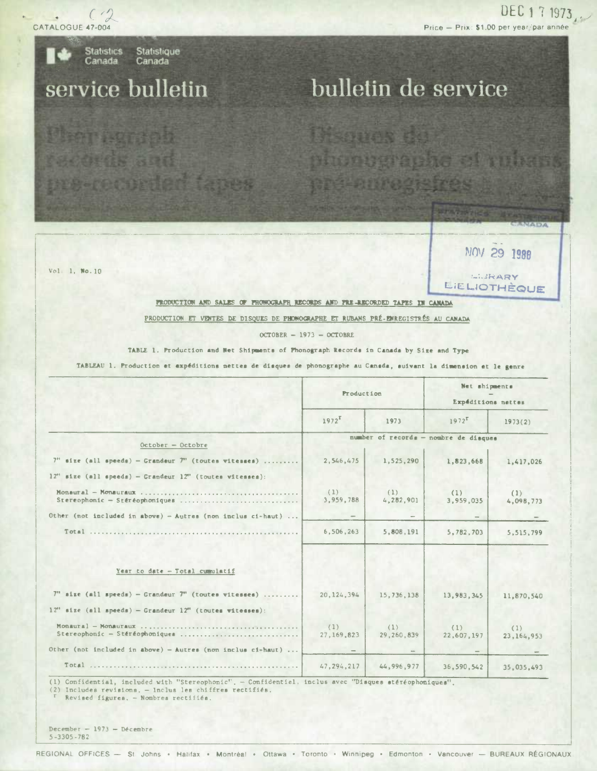monggraphe of mi

**PERSONAL PROPERTY** 

service bulletin

e-cecorded fapes

Meer Burdon

**SHOOT IS SHOOT** 

Statistics Statistique<br>Canada Canada

## bulletin de service

**Disques de** 

Vol. 1, No. 10

CATALOGUE 47-004

WISRARY **EIELIOTHÈQUE** 

**WITH THE FIR** 

**ANALON** 

**NOV 29 1988** 

PRODUCTION AND SALES OF PHONOGRAPH RECORDS AND PRE-RECORDED TAPES IN CANADA

PRODUCTION ET VENTES DE DISQUES DE PHONOGRAPHE ET RUBANS PRÉ-ENREGISTRÉS AU CANADA

OCTOBER - 1973 - OCTOBRE

TABLE 1. Production and Net Shipments of Phonograph Records in Canada by Size and Type

TABLEAU 1. Production et expéditions nettes de disques de phonographe au Canada, suivant la dimension et le genre

|                                                               | Production                            |                          | Net shipments<br>Expéditions nettes |                   |
|---------------------------------------------------------------|---------------------------------------|--------------------------|-------------------------------------|-------------------|
|                                                               | $1972$ <sup>r</sup>                   | 1973                     | $1972^T$                            | 1973(2)           |
| $October - October$                                           | number of records - nombre de disques |                          |                                     |                   |
| $7n$ size (all speeds) - Grandeur $7n$ (toutes vitesses)      | 2,546,475                             | 1,525,290                | 1,823,668                           | 1,417,026         |
| $12''$ size (all speeds) - Grandeur $12''$ (toutes vitesses): |                                       |                          |                                     |                   |
| Stereophonic - Stereophoniques                                | (1)<br>3,959,788                      | (1)<br>4,282,901         | (1)<br>3,959,035                    | (1)<br>4,098,773  |
| Other (not included in above) - Autres (non inclus ci-haut)   | $\overline{\phantom{m}}$              | $\hspace{0.05cm}$        |                                     |                   |
|                                                               | 6,506,263                             | 5,808,191                | 5,782,703                           | 5, 515, 799       |
| Year to date - Total cumulatif                                |                                       |                          |                                     |                   |
| $7m$ aize (all speeds) - Grandeur $7m$ (toutes vitesses)      | 20, 124, 394                          | 15,736,138               | 13,983,345                          | 11,870,540        |
| $12n$ size (all speeds) - Grandeur $12n$ (toutes vitesses):   |                                       |                          |                                     |                   |
| $Monaurial - Monaux  \t(1)$<br>Stereophonic - Stéréophoniques | (1)<br>27,169,823                     | (1)<br>29,260,839        | (1)<br>22,607,197                   | (1)<br>23,164,953 |
| Other (not included in above) - Autres (non inclus ci-haut)   |                                       | $\overline{\phantom{m}}$ |                                     |                   |
|                                                               | 47, 294, 217                          | 44,996,977               | 36, 590, 542                        | 35,035,493        |

(1) Confidential, included with "Stereophonic". - Confidential, inclus avec "Disques stéréophoniques".<br>(2) Includes revisions. - Inclus les chiffres rectifiés.<br><sup>F</sup> Revised figures. - Nombres rectifiés.

December - 1973 - Décembre  $5 - 3305 - 782$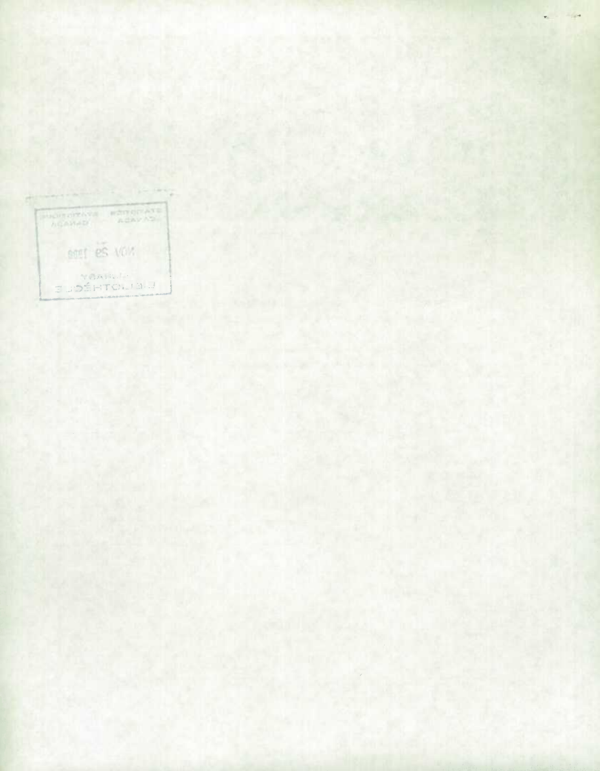**STAR SHOP** AGANADI **BOET ES VOIX ROADLY** SUDÉHTOLIS.J to contacts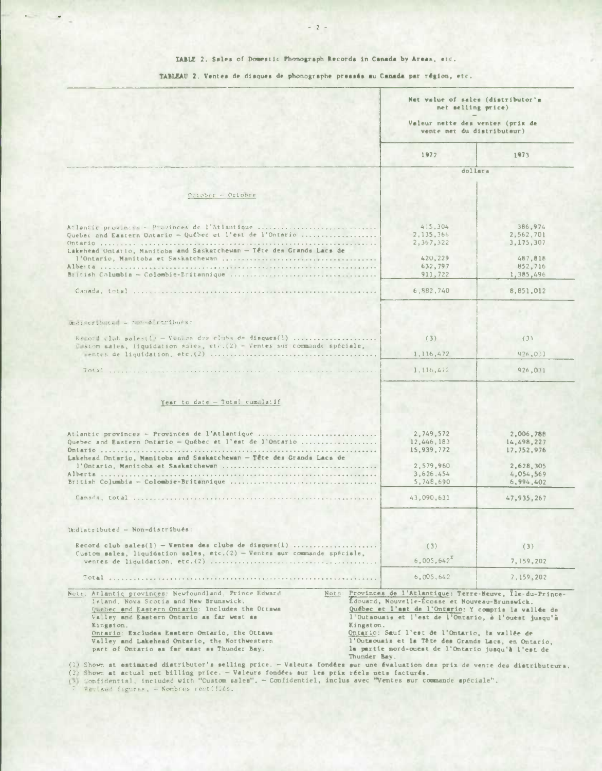## TABLE 2. Sales of Domestic Phonograph Records in Canada by Areas, etc.

|                                                                                                                                                                                                                                                                                                                                                                            | Net value of sales (distributor's<br>net selling price)<br>Valeur nette des ventes (prix de<br>vente net du distributeur)                                                                                                                                                                                                                                                                     |                                       |  |
|----------------------------------------------------------------------------------------------------------------------------------------------------------------------------------------------------------------------------------------------------------------------------------------------------------------------------------------------------------------------------|-----------------------------------------------------------------------------------------------------------------------------------------------------------------------------------------------------------------------------------------------------------------------------------------------------------------------------------------------------------------------------------------------|---------------------------------------|--|
|                                                                                                                                                                                                                                                                                                                                                                            |                                                                                                                                                                                                                                                                                                                                                                                               |                                       |  |
|                                                                                                                                                                                                                                                                                                                                                                            | 1972                                                                                                                                                                                                                                                                                                                                                                                          | 1973                                  |  |
|                                                                                                                                                                                                                                                                                                                                                                            | dollars                                                                                                                                                                                                                                                                                                                                                                                       |                                       |  |
| October - Octobre                                                                                                                                                                                                                                                                                                                                                          |                                                                                                                                                                                                                                                                                                                                                                                               |                                       |  |
|                                                                                                                                                                                                                                                                                                                                                                            |                                                                                                                                                                                                                                                                                                                                                                                               |                                       |  |
| Atlantic provinces - Provinces de l'Atlantique<br>Quebec and Eastern Datario - Québec et l'est de l'Ontario                                                                                                                                                                                                                                                                | 415,304<br>2,135,366<br>2,367,322                                                                                                                                                                                                                                                                                                                                                             | 386,974<br>2,562,701<br>3,175,307     |  |
| Lakehead Ontario, Manitoba and Saskatchewan - Tête den Grands Lacs de                                                                                                                                                                                                                                                                                                      | 420,229<br>632,797                                                                                                                                                                                                                                                                                                                                                                            | 487,818<br>852,716                    |  |
|                                                                                                                                                                                                                                                                                                                                                                            | 911,722                                                                                                                                                                                                                                                                                                                                                                                       | 1,385,496                             |  |
|                                                                                                                                                                                                                                                                                                                                                                            | 6,882,740                                                                                                                                                                                                                                                                                                                                                                                     | 8.851.012                             |  |
|                                                                                                                                                                                                                                                                                                                                                                            |                                                                                                                                                                                                                                                                                                                                                                                               |                                       |  |
| Undistributed - Non-distributs:                                                                                                                                                                                                                                                                                                                                            |                                                                                                                                                                                                                                                                                                                                                                                               |                                       |  |
| $\Box$ stom sales, liquidation sales, etc.(2) - Ventes sur commande spéciale,                                                                                                                                                                                                                                                                                              | (3)                                                                                                                                                                                                                                                                                                                                                                                           | (3)                                   |  |
|                                                                                                                                                                                                                                                                                                                                                                            | 1.116.472                                                                                                                                                                                                                                                                                                                                                                                     | 926,031                               |  |
|                                                                                                                                                                                                                                                                                                                                                                            | 1,116,472                                                                                                                                                                                                                                                                                                                                                                                     | 926,031                               |  |
| Year to date $-$ Total cumulatif                                                                                                                                                                                                                                                                                                                                           |                                                                                                                                                                                                                                                                                                                                                                                               |                                       |  |
|                                                                                                                                                                                                                                                                                                                                                                            |                                                                                                                                                                                                                                                                                                                                                                                               |                                       |  |
| Atlantic provinces - Provinces de l'Atlantique<br>Quebec and Eastern Ontario - Québec et l'est de l'Ontario                                                                                                                                                                                                                                                                | 2,749,572<br>12,446,183<br>15,939,772                                                                                                                                                                                                                                                                                                                                                         | 2,006,788<br>14,498,227<br>17,752,976 |  |
| Lakehead Ontario, Manitoba and Saskatchewan - Tête des Grands Lacs de                                                                                                                                                                                                                                                                                                      | 2,579,960                                                                                                                                                                                                                                                                                                                                                                                     | 2,628,305                             |  |
|                                                                                                                                                                                                                                                                                                                                                                            | 3,626,454<br>5,748,690                                                                                                                                                                                                                                                                                                                                                                        | 4,054,569<br>6,994,402                |  |
|                                                                                                                                                                                                                                                                                                                                                                            | 43,090,631                                                                                                                                                                                                                                                                                                                                                                                    | 47,935,267                            |  |
|                                                                                                                                                                                                                                                                                                                                                                            |                                                                                                                                                                                                                                                                                                                                                                                               |                                       |  |
| Undistributed - Non-distribués:                                                                                                                                                                                                                                                                                                                                            |                                                                                                                                                                                                                                                                                                                                                                                               |                                       |  |
| Record club sales $(1)$ - Ventes des clubs de disques $(1)$<br>Custom sales, liquidation sales, etc. $(2)$ - Ventes sur commande spécisle,                                                                                                                                                                                                                                 | (3)<br>$6,005,642^*$                                                                                                                                                                                                                                                                                                                                                                          | (3)<br>7, 159, 202                    |  |
|                                                                                                                                                                                                                                                                                                                                                                            | 6,005,642                                                                                                                                                                                                                                                                                                                                                                                     | 7,159,202                             |  |
| Note: Atlantic provinces: Newfoundland, Prince Edward<br>Island, Nova Scotia and New Brunswick,<br>Quebec and Eastern Ontario: Includes the Ottawa<br>Valley and Eastern Ontario as far west as<br>Kingston.<br>Kingston.<br>Ontario: Excludes Eastern Ontario, the Ottawa<br>Valley and Lakehead Ontario, the Northwestern<br>part of Ontario as far east as Thunder Bay, | Nota: Provinces de l'Atlantique: Terre-Neuve, Ile-du-Prince-<br>Edouard, Nouvelle-Écosse et Nouveau-Brunswick.<br>Québec et l'est de l'Ontario: Y compris la vallée de<br>l'Outaousis et l'est de l'Ontario, à l'ouest jusqu'à<br>Ontario: Sauf l'est de l'Ontario, la vallée de<br>l'Outnoumis et la Tête des Grands Lacs, en Ontario.<br>la partie nord-ouest de l'Ontario jusqu'à l'est de |                                       |  |

TABLEAU 2. Ventes de disques de phonographe pressés au Canada par région, etc.

(1) Shown at estimated distributor's selling price. - Valeurs fondées sur une évaluation des prix de vente des distributeurs.<br>
(2) Shown at actual net billing price. - Valeurs fondées sur les prix réels nets facturés.<br>
(3)

Thunder Bay.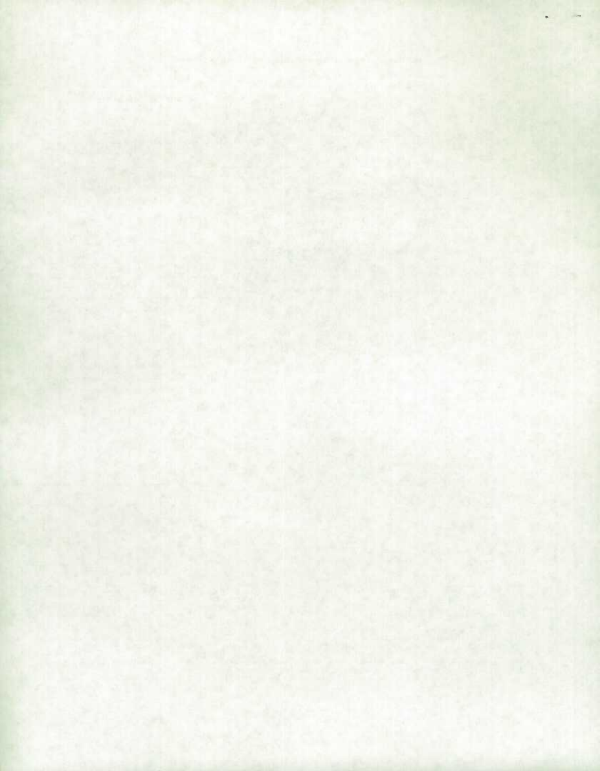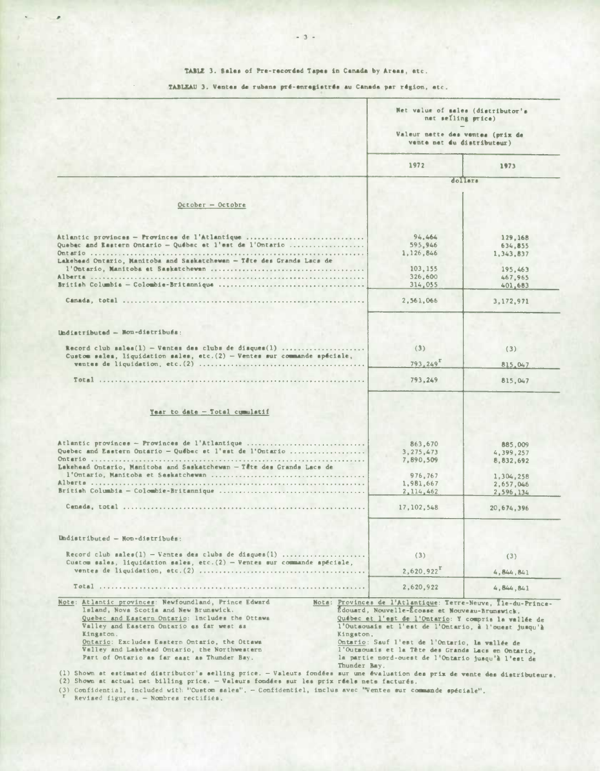## TABLE 3. Sales of Pre-recorded Tapes in Canada by Areas, etc.

TABLEAU 3. Ventes de rubans pré-enregistrés au Canada par région, etc.

|                                                                                                                                                                                                                                                                                                                                                                                                                                                                                                                                                                                                                                                                                                                                                                   |                                                                                                                                                                                                                                                                                                                                                                                                              | Net value of sales (distributor's<br>net selling price)<br>Valeur nette des ventes (prix de<br>vente net du distributeur) |  |  |
|-------------------------------------------------------------------------------------------------------------------------------------------------------------------------------------------------------------------------------------------------------------------------------------------------------------------------------------------------------------------------------------------------------------------------------------------------------------------------------------------------------------------------------------------------------------------------------------------------------------------------------------------------------------------------------------------------------------------------------------------------------------------|--------------------------------------------------------------------------------------------------------------------------------------------------------------------------------------------------------------------------------------------------------------------------------------------------------------------------------------------------------------------------------------------------------------|---------------------------------------------------------------------------------------------------------------------------|--|--|
|                                                                                                                                                                                                                                                                                                                                                                                                                                                                                                                                                                                                                                                                                                                                                                   | 1972                                                                                                                                                                                                                                                                                                                                                                                                         | 1973                                                                                                                      |  |  |
|                                                                                                                                                                                                                                                                                                                                                                                                                                                                                                                                                                                                                                                                                                                                                                   |                                                                                                                                                                                                                                                                                                                                                                                                              | dollars                                                                                                                   |  |  |
| $October - October$                                                                                                                                                                                                                                                                                                                                                                                                                                                                                                                                                                                                                                                                                                                                               |                                                                                                                                                                                                                                                                                                                                                                                                              |                                                                                                                           |  |  |
| Atlantic provinces - Provinces de l'Atlantique<br>Quebec and Eastern Ontario - Québec et l'est de l'Ontario<br>Lakehead Ontario, Manitoba and Saskatchewan - Tête des Grands Lacs de                                                                                                                                                                                                                                                                                                                                                                                                                                                                                                                                                                              | 94.464<br>595.946<br>1,126,846<br>103,155<br>326,600<br>314,055<br>2,561,066                                                                                                                                                                                                                                                                                                                                 | 129,168<br>634,855<br>1,343,837<br>195,463<br>467.965<br>401,683<br>3,172,971                                             |  |  |
|                                                                                                                                                                                                                                                                                                                                                                                                                                                                                                                                                                                                                                                                                                                                                                   |                                                                                                                                                                                                                                                                                                                                                                                                              |                                                                                                                           |  |  |
| $l$ ladistributed - Non-distribués:<br>Record club sales(1) - Ventes des clubs de disques(1)<br>Custom sales, liquidation sales, etc. $(2)$ - Ventes sur commande spéciale,                                                                                                                                                                                                                                                                                                                                                                                                                                                                                                                                                                                       | (3)<br>$793, 249$ <sup>r</sup>                                                                                                                                                                                                                                                                                                                                                                               | (3)<br>815,047                                                                                                            |  |  |
|                                                                                                                                                                                                                                                                                                                                                                                                                                                                                                                                                                                                                                                                                                                                                                   | 793,249                                                                                                                                                                                                                                                                                                                                                                                                      | 815,047                                                                                                                   |  |  |
| Year to date $-$ Total cumulatif                                                                                                                                                                                                                                                                                                                                                                                                                                                                                                                                                                                                                                                                                                                                  |                                                                                                                                                                                                                                                                                                                                                                                                              |                                                                                                                           |  |  |
| Atlantic provinces - Provinces de l'Atlantique<br>Quebec and Eastern Ontario - Québec et l'est de l'Ontario<br>Lakehead Ontario, Manitoba and Saskatchewan - Tête des Grands Lacs de                                                                                                                                                                                                                                                                                                                                                                                                                                                                                                                                                                              | 863,670<br>3, 275, 473<br>7,890,509<br>976,767<br>1,981,667                                                                                                                                                                                                                                                                                                                                                  | 885,009<br>4.399.257<br>8,832,692<br>1,304,258<br>2,657,046                                                               |  |  |
|                                                                                                                                                                                                                                                                                                                                                                                                                                                                                                                                                                                                                                                                                                                                                                   | 2,114,462<br>17, 102, 548                                                                                                                                                                                                                                                                                                                                                                                    | 2.596.134<br>20,674,396                                                                                                   |  |  |
| $Indistributed - Non-distribués:$<br>Record club sales(1) - Ventes des clubs de disques(1)<br>Custom sales, liquidation sales, etc. $(2)$ - Ventes sur commande apéciale,                                                                                                                                                                                                                                                                                                                                                                                                                                                                                                                                                                                         | (3)<br>$2,620.922^{x}$                                                                                                                                                                                                                                                                                                                                                                                       | (3)<br>4,844,841                                                                                                          |  |  |
|                                                                                                                                                                                                                                                                                                                                                                                                                                                                                                                                                                                                                                                                                                                                                                   | 2,620,922                                                                                                                                                                                                                                                                                                                                                                                                    | 4,844,841                                                                                                                 |  |  |
| Note: Atlantic provinces: Newfoundland, Prince Edward<br>Island, Nova Scotia and New Brunswick.<br>Quebec and Eastern Ontario: Includes the Ottawa<br>Valley and Eastern Ontario as far west as<br>Kingston.<br>Kingston.<br>Ontario: Excludes Esstern Ontario, the Ottawa<br>Valley and Lakehead Ontario, the Northwestern<br>Part of Ontario as far east as Thunder Bay.<br>(1) Shown at estimated distributor's selling price. - Valeurs fondées sur une évaluation des prix de vente des distributeurs.<br>(2) Shown at actual net billing price. - Valeurs fondées sur les prix réels nets facturés.<br>(3) Confidential, included with "Custom sales". - Confidential, inclus avec "Ventes sur commande spéciale".<br>Revised figures. - Nombres rectifiés. | Nota: Provinces de l'Atlantique: Terre-Neuve, Ile-du-Prince-<br>Édouard, Nouvelle-Écosse et Nouveau-Brunswick.<br>Québec et l'est de l'Ontario: Y compris la vallée de<br>l'Outsousis et l'est de l'Ontario, à l'ouest jusqu'à<br>Ontario: Sauf I'est de l'Ontario, la vallée de<br>l'Outzouzis et la Tête des Grands Lacs en Ontario.<br>la partie nord-ouest de l'Ontario jusqu'à l'est de<br>Thunder Bay. |                                                                                                                           |  |  |

×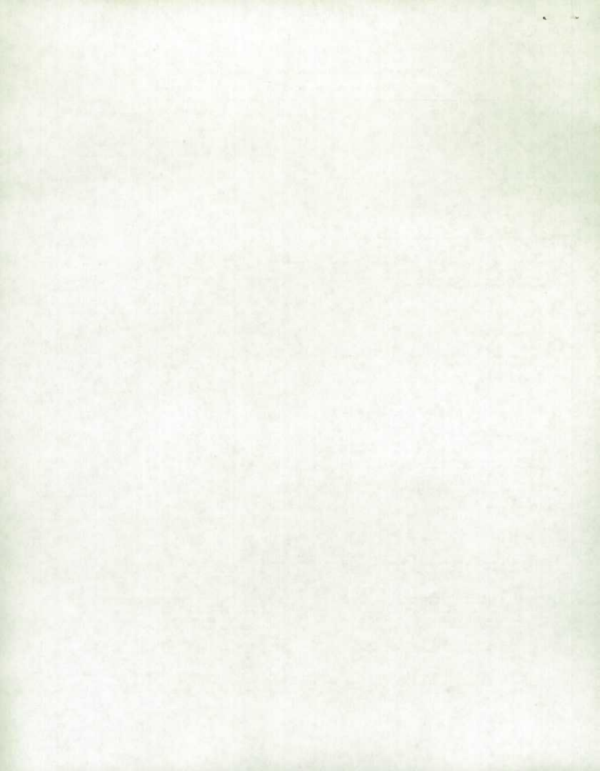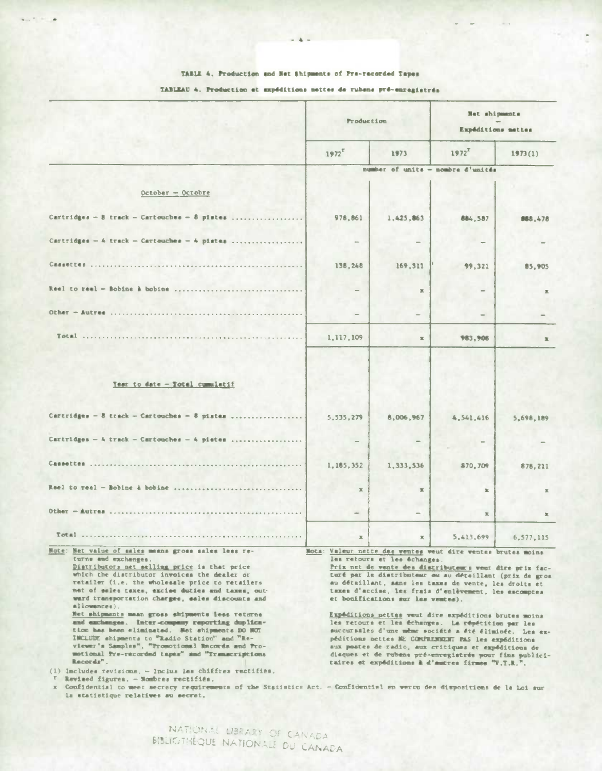## TABLE 4. Production and Net Shipments of Pre-recorded Tapes

|                                                                                                                                                                                                                                                                                                                                                                                                                                                                                                                                                                                                                                                                                                                                                     | Production                                                                                                                                                                                                                                                                                                                                                                                                                                                                                                                                                                                                                                                                                                                                                                        |                          | Net shipments<br>Expéditions mettes |              |
|-----------------------------------------------------------------------------------------------------------------------------------------------------------------------------------------------------------------------------------------------------------------------------------------------------------------------------------------------------------------------------------------------------------------------------------------------------------------------------------------------------------------------------------------------------------------------------------------------------------------------------------------------------------------------------------------------------------------------------------------------------|-----------------------------------------------------------------------------------------------------------------------------------------------------------------------------------------------------------------------------------------------------------------------------------------------------------------------------------------------------------------------------------------------------------------------------------------------------------------------------------------------------------------------------------------------------------------------------------------------------------------------------------------------------------------------------------------------------------------------------------------------------------------------------------|--------------------------|-------------------------------------|--------------|
|                                                                                                                                                                                                                                                                                                                                                                                                                                                                                                                                                                                                                                                                                                                                                     |                                                                                                                                                                                                                                                                                                                                                                                                                                                                                                                                                                                                                                                                                                                                                                                   |                          |                                     |              |
|                                                                                                                                                                                                                                                                                                                                                                                                                                                                                                                                                                                                                                                                                                                                                     | 1972 <sup>x</sup>                                                                                                                                                                                                                                                                                                                                                                                                                                                                                                                                                                                                                                                                                                                                                                 | 1973                     | 1972 <sup>T</sup>                   | 1973(1)      |
|                                                                                                                                                                                                                                                                                                                                                                                                                                                                                                                                                                                                                                                                                                                                                     | number of units - nombre d'unités                                                                                                                                                                                                                                                                                                                                                                                                                                                                                                                                                                                                                                                                                                                                                 |                          |                                     |              |
| October - Octobre                                                                                                                                                                                                                                                                                                                                                                                                                                                                                                                                                                                                                                                                                                                                   |                                                                                                                                                                                                                                                                                                                                                                                                                                                                                                                                                                                                                                                                                                                                                                                   |                          |                                     |              |
| Cartridges - 8 track - Cartouches - 8 piates                                                                                                                                                                                                                                                                                                                                                                                                                                                                                                                                                                                                                                                                                                        | 978,861                                                                                                                                                                                                                                                                                                                                                                                                                                                                                                                                                                                                                                                                                                                                                                           | 1,425,863                | 884.587                             | 888,478      |
| Cartridges - 4 track - Cartouches - 4 pistes                                                                                                                                                                                                                                                                                                                                                                                                                                                                                                                                                                                                                                                                                                        |                                                                                                                                                                                                                                                                                                                                                                                                                                                                                                                                                                                                                                                                                                                                                                                   |                          | $\sim$                              |              |
|                                                                                                                                                                                                                                                                                                                                                                                                                                                                                                                                                                                                                                                                                                                                                     | 138,248                                                                                                                                                                                                                                                                                                                                                                                                                                                                                                                                                                                                                                                                                                                                                                           | 169,311                  | 99,321                              | 85,905       |
| Reel to real - Bobine à bobine                                                                                                                                                                                                                                                                                                                                                                                                                                                                                                                                                                                                                                                                                                                      |                                                                                                                                                                                                                                                                                                                                                                                                                                                                                                                                                                                                                                                                                                                                                                                   | $\overline{\mathcal{M}}$ |                                     | 耳            |
|                                                                                                                                                                                                                                                                                                                                                                                                                                                                                                                                                                                                                                                                                                                                                     |                                                                                                                                                                                                                                                                                                                                                                                                                                                                                                                                                                                                                                                                                                                                                                                   |                          |                                     |              |
|                                                                                                                                                                                                                                                                                                                                                                                                                                                                                                                                                                                                                                                                                                                                                     | 1,117,109                                                                                                                                                                                                                                                                                                                                                                                                                                                                                                                                                                                                                                                                                                                                                                         | $\mathbb{R}$             | 983,906                             | $\mathbf{X}$ |
| Year to date - Total cumulatif                                                                                                                                                                                                                                                                                                                                                                                                                                                                                                                                                                                                                                                                                                                      |                                                                                                                                                                                                                                                                                                                                                                                                                                                                                                                                                                                                                                                                                                                                                                                   |                          |                                     |              |
| Cartridges - 8 track - Cartouches - 8 piates                                                                                                                                                                                                                                                                                                                                                                                                                                                                                                                                                                                                                                                                                                        | 5,535,279                                                                                                                                                                                                                                                                                                                                                                                                                                                                                                                                                                                                                                                                                                                                                                         | 8,006,967                | 4,541,416                           | 5,698,189    |
| Cartridges - 4 track - Cartouches - 4 pistes                                                                                                                                                                                                                                                                                                                                                                                                                                                                                                                                                                                                                                                                                                        |                                                                                                                                                                                                                                                                                                                                                                                                                                                                                                                                                                                                                                                                                                                                                                                   |                          |                                     |              |
|                                                                                                                                                                                                                                                                                                                                                                                                                                                                                                                                                                                                                                                                                                                                                     | 1,185,352                                                                                                                                                                                                                                                                                                                                                                                                                                                                                                                                                                                                                                                                                                                                                                         | 1,333,536                | 870,709                             | 875, 211     |
| Reel to reel - Bobine à bobine                                                                                                                                                                                                                                                                                                                                                                                                                                                                                                                                                                                                                                                                                                                      | $\mathbb{R}$                                                                                                                                                                                                                                                                                                                                                                                                                                                                                                                                                                                                                                                                                                                                                                      | $\mathbb R$              | $\underline{\mathbf{x}}$            | 黒            |
|                                                                                                                                                                                                                                                                                                                                                                                                                                                                                                                                                                                                                                                                                                                                                     |                                                                                                                                                                                                                                                                                                                                                                                                                                                                                                                                                                                                                                                                                                                                                                                   |                          | $\mathbb{X}$                        | ж            |
|                                                                                                                                                                                                                                                                                                                                                                                                                                                                                                                                                                                                                                                                                                                                                     | ж                                                                                                                                                                                                                                                                                                                                                                                                                                                                                                                                                                                                                                                                                                                                                                                 | $\mathbb{X}$             | 5,413,699                           | 6,577,115    |
| Note: Net value of sales means gross sales less re-<br>turns and exchanges.<br>Distributors net selling price is that price<br>which the distributor invoices the dealer or<br>retailer (i.e. the wholesale price to retailers<br>net of sales taxes, excise duties and taxes, out-<br>ward transportation charges, sales discounts and<br>allowances).<br>Net shipments mean gross shipments less returns<br>and exchanges. Inter-company reporting duplica-<br>tion has been eliminated. Net shipments DO NOT<br>INCLUDE shipments to "Radio Station" and "Re-<br>viewer's Samples", "Promotional Records and Pro-<br>motional Pre-recorded tapes" and "Transcriptions<br>Records".<br>$(1)$ Includes revisions. - Inclus les chiffres rectifiés. | Nota: Valeur nette das ventes weut dire wentes brutes moins<br>les retours et les échanges.<br>Prix net de vente des distributemmes weut dire prix fac-<br>turé par le distributeur ou au détaillant (prix de gros<br>au détaillant, sans les taxes de vente, les droits et<br>taxes d'accise, les frais d'enlèvement, les escomptes<br>et bonifications sur les ventes).<br>Expéditions nettes weut dire expéditions brutes moins<br>les retours et les échanges. La répétition par les<br>succursales d'une même société a été éliminée. Les ex-<br>péditions nettes NE COMPRENDENT PAS les expéditions<br>aux postes de radio, aux critiques et expéditions de<br>disques et de rubans pré-envegistrés pour fins publici-<br>caires et expéditions à d'autres firmes "V.T.R.". |                          |                                     |              |

TABLEAU 4. Production et expéditions mettes de rubens pré-enregistrés

 $F$  Revised figures. - Nombres rectifiés.

x Confidential to weet secrecy requirements of the Statistics Act. - Confidentiel en wertu des dispositions de la Loi sur<br>la statistique relatives au secret.

NATIONAL LIBRARY OF CANADA BIBLIOTHEQUE NATIONALE DU CANADA